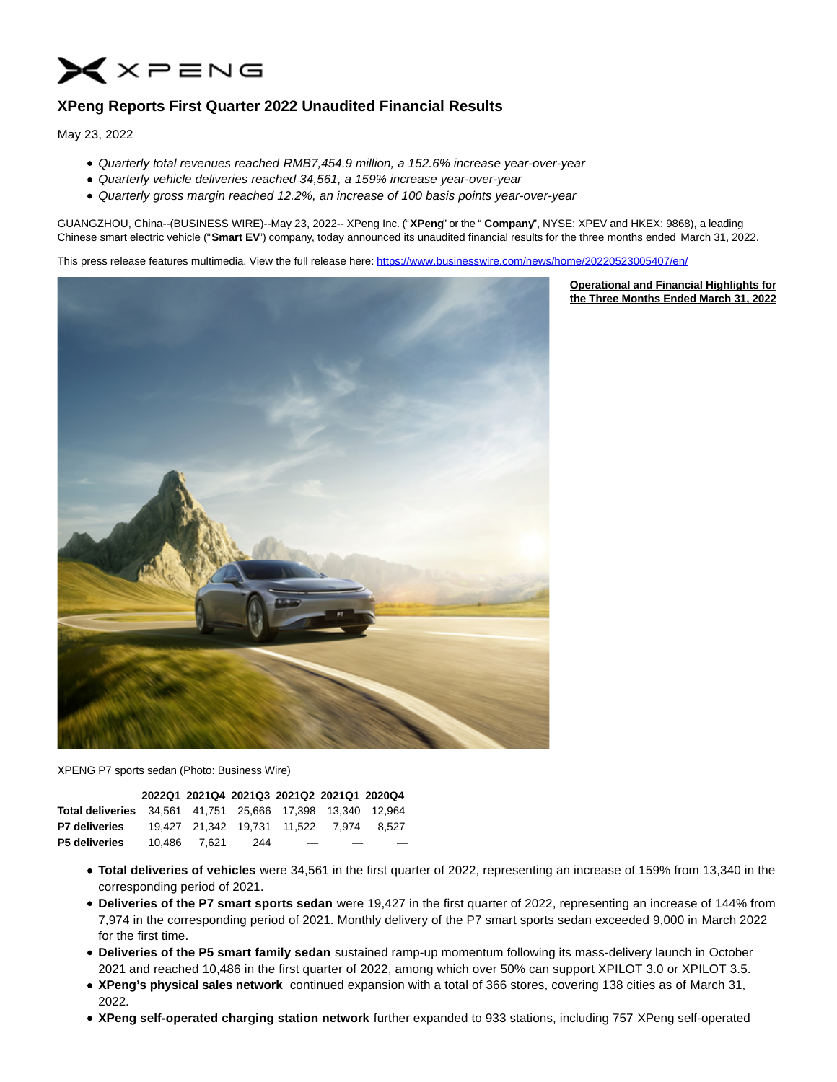

# **XPeng Reports First Quarter 2022 Unaudited Financial Results**

May 23, 2022

- Quarterly total revenues reached RMB7,454.9 million, a 152.6% increase year-over-year
- Quarterly vehicle deliveries reached 34,561, a 159% increase year-over-year
- Quarterly gross margin reached 12.2%, an increase of 100 basis points year-over-year

GUANGZHOU, China--(BUSINESS WIRE)--May 23, 2022-- XPeng Inc. ("**XPeng**" or the " **Company**", NYSE: XPEV and HKEX: 9868), a leading Chinese smart electric vehicle ("**Smart EV**") company, today announced its unaudited financial results for the three months ended March 31, 2022.

> **Operational and Financial Highlights for the Three Months Ended March 31, 2022**

This press release features multimedia. View the full release here:<https://www.businesswire.com/news/home/20220523005407/en/>



XPENG P7 sports sedan (Photo: Business Wire)

|                                                                   | 2022Q1 2021Q4 2021Q3 2021Q2 2021Q1 2020Q4 |     |   |                                         |
|-------------------------------------------------------------------|-------------------------------------------|-----|---|-----------------------------------------|
| <b>Total deliveries</b> 34,561 41,751 25,666 17,398 13,340 12,964 |                                           |     |   |                                         |
| <b>P7 deliveries</b>                                              |                                           |     |   | 19.427 21.342 19.731 11.522 7.974 8.527 |
| <b>P5 deliveries</b>                                              | 10.486 7.621                              | 244 | _ | –                                       |

- **Total deliveries of vehicles** were 34,561 in the first quarter of 2022, representing an increase of 159% from 13,340 in the corresponding period of 2021.
- **Deliveries of the P7 smart sports sedan** were 19,427 in the first quarter of 2022, representing an increase of 144% from 7,974 in the corresponding period of 2021. Monthly delivery of the P7 smart sports sedan exceeded 9,000 in March 2022 for the first time.
- **Deliveries of the P5 smart family sedan** sustained ramp-up momentum following its mass-delivery launch in October 2021 and reached 10,486 in the first quarter of 2022, among which over 50% can support XPILOT 3.0 or XPILOT 3.5.
- **XPeng's physical sales network** continued expansion with a total of 366 stores, covering 138 cities as of March 31, 2022.
- **XPeng self-operated charging station network** further expanded to 933 stations, including 757 XPeng self-operated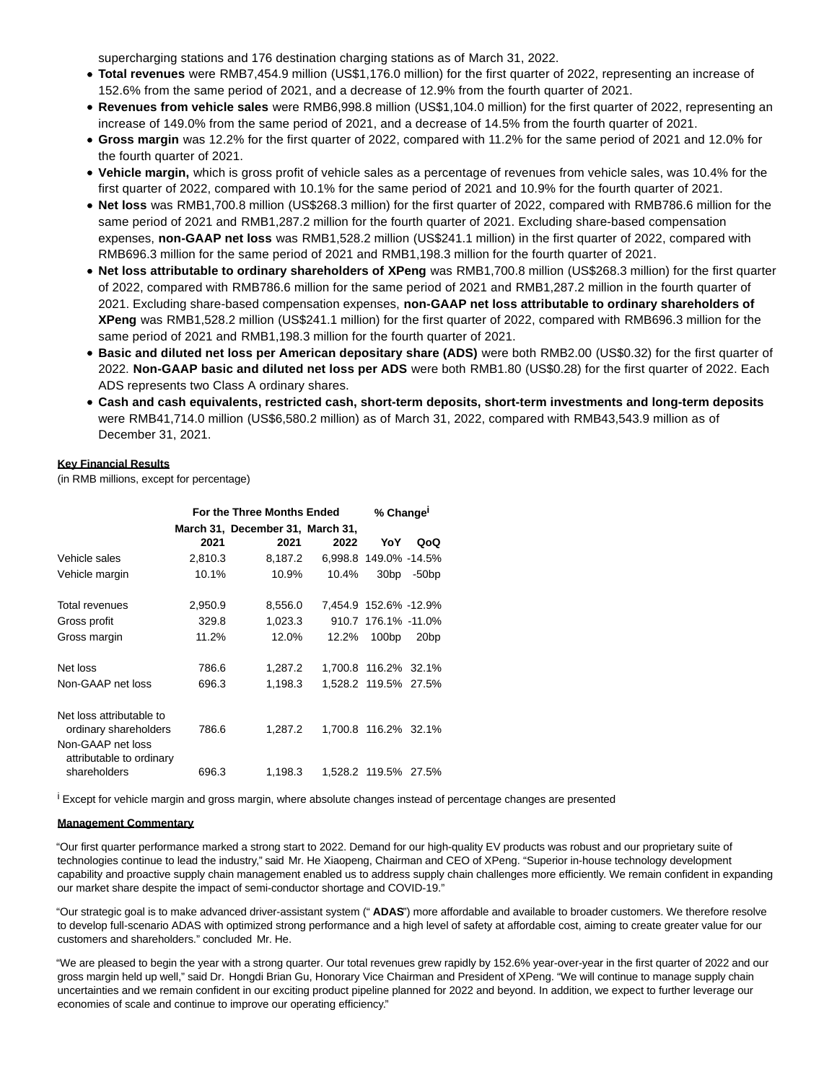supercharging stations and 176 destination charging stations as of March 31, 2022.

- **Total revenues** were RMB7,454.9 million (US\$1,176.0 million) for the first quarter of 2022, representing an increase of 152.6% from the same period of 2021, and a decrease of 12.9% from the fourth quarter of 2021.
- **Revenues from vehicle sales** were RMB6,998.8 million (US\$1,104.0 million) for the first quarter of 2022, representing an increase of 149.0% from the same period of 2021, and a decrease of 14.5% from the fourth quarter of 2021.
- **Gross margin** was 12.2% for the first quarter of 2022, compared with 11.2% for the same period of 2021 and 12.0% for the fourth quarter of 2021.
- **Vehicle margin,** which is gross profit of vehicle sales as a percentage of revenues from vehicle sales, was 10.4% for the first quarter of 2022, compared with 10.1% for the same period of 2021 and 10.9% for the fourth quarter of 2021.
- **Net loss** was RMB1,700.8 million (US\$268.3 million) for the first quarter of 2022, compared with RMB786.6 million for the same period of 2021 and RMB1,287.2 million for the fourth quarter of 2021. Excluding share-based compensation expenses, **non-GAAP net loss** was RMB1,528.2 million (US\$241.1 million) in the first quarter of 2022, compared with RMB696.3 million for the same period of 2021 and RMB1,198.3 million for the fourth quarter of 2021.
- **Net loss attributable to ordinary shareholders of XPeng** was RMB1,700.8 million (US\$268.3 million) for the first quarter of 2022, compared with RMB786.6 million for the same period of 2021 and RMB1,287.2 million in the fourth quarter of 2021. Excluding share-based compensation expenses, **non-GAAP net loss attributable to ordinary shareholders of XPeng** was RMB1,528.2 million (US\$241.1 million) for the first quarter of 2022, compared with RMB696.3 million for the same period of 2021 and RMB1,198.3 million for the fourth quarter of 2021.
- **Basic and diluted net loss per American depositary share (ADS)** were both RMB2.00 (US\$0.32) for the first quarter of 2022. **Non-GAAP basic and diluted net loss per ADS** were both RMB1.80 (US\$0.28) for the first quarter of 2022. Each ADS represents two Class A ordinary shares.
- **Cash and cash equivalents, restricted cash, short-term deposits, short-term investments and long-term deposits** were RMB41,714.0 million (US\$6,580.2 million) as of March 31, 2022, compared with RMB43,543.9 million as of December 31, 2021.

## **Key Financial Results**

(in RMB millions, except for percentage)

|                                                               |         | For the Three Months Ended       |         | % Change <sup>1</sup> |                  |
|---------------------------------------------------------------|---------|----------------------------------|---------|-----------------------|------------------|
|                                                               |         | March 31, December 31, March 31, |         |                       |                  |
|                                                               | 2021    | 2021                             | 2022    | YoY                   | QoQ              |
| Vehicle sales                                                 | 2,810.3 | 8,187.2                          | 6,998.8 | 149.0% -14.5%         |                  |
| Vehicle margin                                                | 10.1%   | 10.9%                            | 10.4%   | 30 <sub>bp</sub>      | $-50bp$          |
| Total revenues                                                | 2,950.9 | 8,556.0                          |         | 7,454.9 152.6% -12.9% |                  |
| Gross profit                                                  | 329.8   | 1,023.3                          |         | 910.7 176.1% -11.0%   |                  |
| Gross margin                                                  | 11.2%   | 12.0%                            | 12.2%   | 100 <sub>bp</sub>     | 20 <sub>bp</sub> |
| Net loss                                                      | 786.6   | 1,287.2                          |         | 1,700.8 116.2% 32.1%  |                  |
| Non-GAAP net loss                                             | 696.3   | 1,198.3                          |         | 1,528.2 119.5% 27.5%  |                  |
| Net loss attributable to<br>ordinary shareholders             | 786.6   | 1.287.2                          |         | 1,700.8 116.2% 32.1%  |                  |
| Non-GAAP net loss<br>attributable to ordinary<br>shareholders | 696.3   | 1,198.3                          |         | 1,528.2 119.5% 27.5%  |                  |
|                                                               |         |                                  |         |                       |                  |

i Except for vehicle margin and gross margin, where absolute changes instead of percentage changes are presented

#### **Management Commentary**

"Our first quarter performance marked a strong start to 2022. Demand for our high-quality EV products was robust and our proprietary suite of technologies continue to lead the industry," said Mr. He Xiaopeng, Chairman and CEO of XPeng. "Superior in-house technology development capability and proactive supply chain management enabled us to address supply chain challenges more efficiently. We remain confident in expanding our market share despite the impact of semi-conductor shortage and COVID-19."

"Our strategic goal is to make advanced driver-assistant system (" **ADAS**") more affordable and available to broader customers. We therefore resolve to develop full-scenario ADAS with optimized strong performance and a high level of safety at affordable cost, aiming to create greater value for our customers and shareholders." concluded Mr. He.

"We are pleased to begin the year with a strong quarter. Our total revenues grew rapidly by 152.6% year-over-year in the first quarter of 2022 and our gross margin held up well," said Dr. Hongdi Brian Gu, Honorary Vice Chairman and President of XPeng. "We will continue to manage supply chain uncertainties and we remain confident in our exciting product pipeline planned for 2022 and beyond. In addition, we expect to further leverage our economies of scale and continue to improve our operating efficiency."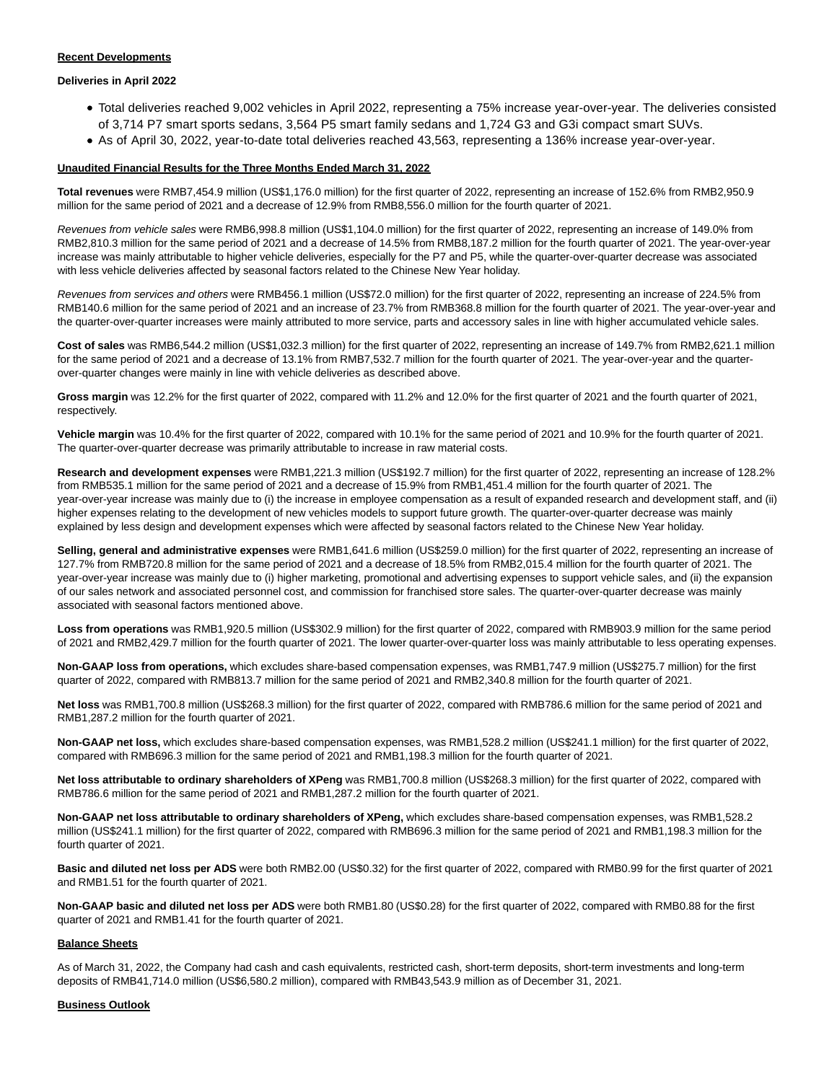### **Recent Developments**

### **Deliveries in April 2022**

- Total deliveries reached 9,002 vehicles in April 2022, representing a 75% increase year-over-year. The deliveries consisted of 3,714 P7 smart sports sedans, 3,564 P5 smart family sedans and 1,724 G3 and G3i compact smart SUVs.
- As of April 30, 2022, year-to-date total deliveries reached 43,563, representing a 136% increase year-over-year.

#### **Unaudited Financial Results for the Three Months Ended March 31, 2022**

**Total revenues** were RMB7,454.9 million (US\$1,176.0 million) for the first quarter of 2022, representing an increase of 152.6% from RMB2,950.9 million for the same period of 2021 and a decrease of 12.9% from RMB8,556.0 million for the fourth quarter of 2021.

Revenues from vehicle sales were RMB6,998.8 million (US\$1,104.0 million) for the first quarter of 2022, representing an increase of 149.0% from RMB2,810.3 million for the same period of 2021 and a decrease of 14.5% from RMB8,187.2 million for the fourth quarter of 2021. The year-over-year increase was mainly attributable to higher vehicle deliveries, especially for the P7 and P5, while the quarter-over-quarter decrease was associated with less vehicle deliveries affected by seasonal factors related to the Chinese New Year holiday.

Revenues from services and others were RMB456.1 million (US\$72.0 million) for the first quarter of 2022, representing an increase of 224.5% from RMB140.6 million for the same period of 2021 and an increase of 23.7% from RMB368.8 million for the fourth quarter of 2021. The year-over-year and the quarter-over-quarter increases were mainly attributed to more service, parts and accessory sales in line with higher accumulated vehicle sales.

**Cost of sales** was RMB6,544.2 million (US\$1,032.3 million) for the first quarter of 2022, representing an increase of 149.7% from RMB2,621.1 million for the same period of 2021 and a decrease of 13.1% from RMB7,532.7 million for the fourth quarter of 2021. The year-over-year and the quarterover-quarter changes were mainly in line with vehicle deliveries as described above.

**Gross margin** was 12.2% for the first quarter of 2022, compared with 11.2% and 12.0% for the first quarter of 2021 and the fourth quarter of 2021, respectively.

**Vehicle margin** was 10.4% for the first quarter of 2022, compared with 10.1% for the same period of 2021 and 10.9% for the fourth quarter of 2021. The quarter-over-quarter decrease was primarily attributable to increase in raw material costs.

**Research and development expenses** were RMB1,221.3 million (US\$192.7 million) for the first quarter of 2022, representing an increase of 128.2% from RMB535.1 million for the same period of 2021 and a decrease of 15.9% from RMB1,451.4 million for the fourth quarter of 2021. The year-over-year increase was mainly due to (i) the increase in employee compensation as a result of expanded research and development staff, and (ii) higher expenses relating to the development of new vehicles models to support future growth. The quarter-over-quarter decrease was mainly explained by less design and development expenses which were affected by seasonal factors related to the Chinese New Year holiday.

Selling, general and administrative expenses were RMB1,641.6 million (US\$259.0 million) for the first quarter of 2022, representing an increase of 127.7% from RMB720.8 million for the same period of 2021 and a decrease of 18.5% from RMB2,015.4 million for the fourth quarter of 2021. The year-over-year increase was mainly due to (i) higher marketing, promotional and advertising expenses to support vehicle sales, and (ii) the expansion of our sales network and associated personnel cost, and commission for franchised store sales. The quarter-over-quarter decrease was mainly associated with seasonal factors mentioned above.

**Loss from operations** was RMB1,920.5 million (US\$302.9 million) for the first quarter of 2022, compared with RMB903.9 million for the same period of 2021 and RMB2,429.7 million for the fourth quarter of 2021. The lower quarter-over-quarter loss was mainly attributable to less operating expenses.

**Non-GAAP loss from operations,** which excludes share-based compensation expenses, was RMB1,747.9 million (US\$275.7 million) for the first quarter of 2022, compared with RMB813.7 million for the same period of 2021 and RMB2,340.8 million for the fourth quarter of 2021.

**Net loss** was RMB1,700.8 million (US\$268.3 million) for the first quarter of 2022, compared with RMB786.6 million for the same period of 2021 and RMB1,287.2 million for the fourth quarter of 2021.

**Non-GAAP net loss,** which excludes share-based compensation expenses, was RMB1,528.2 million (US\$241.1 million) for the first quarter of 2022, compared with RMB696.3 million for the same period of 2021 and RMB1,198.3 million for the fourth quarter of 2021.

**Net loss attributable to ordinary shareholders of XPeng** was RMB1,700.8 million (US\$268.3 million) for the first quarter of 2022, compared with RMB786.6 million for the same period of 2021 and RMB1,287.2 million for the fourth quarter of 2021.

**Non-GAAP net loss attributable to ordinary shareholders of XPeng,** which excludes share-based compensation expenses, was RMB1,528.2 million (US\$241.1 million) for the first quarter of 2022, compared with RMB696.3 million for the same period of 2021 and RMB1,198.3 million for the fourth quarter of 2021.

**Basic and diluted net loss per ADS** were both RMB2.00 (US\$0.32) for the first quarter of 2022, compared with RMB0.99 for the first quarter of 2021 and RMB1.51 for the fourth quarter of 2021.

**Non-GAAP basic and diluted net loss per ADS** were both RMB1.80 (US\$0.28) for the first quarter of 2022, compared with RMB0.88 for the first quarter of 2021 and RMB1.41 for the fourth quarter of 2021.

## **Balance Sheets**

As of March 31, 2022, the Company had cash and cash equivalents, restricted cash, short-term deposits, short-term investments and long-term deposits of RMB41,714.0 million (US\$6,580.2 million), compared with RMB43,543.9 million as of December 31, 2021.

#### **Business Outlook**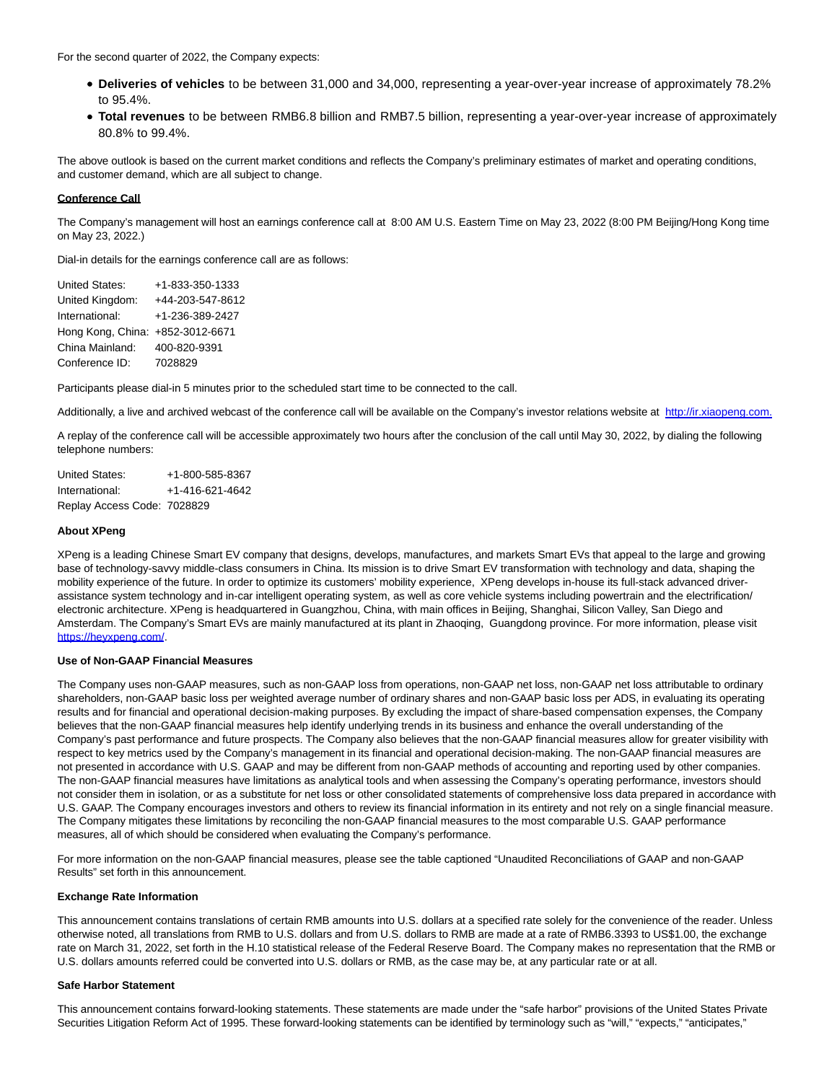For the second quarter of 2022, the Company expects:

- **Deliveries of vehicles** to be between 31,000 and 34,000, representing a year-over-year increase of approximately 78.2% to 95.4%.
- **Total revenues** to be between RMB6.8 billion and RMB7.5 billion, representing a year-over-year increase of approximately 80.8% to 99.4%.

The above outlook is based on the current market conditions and reflects the Company's preliminary estimates of market and operating conditions, and customer demand, which are all subject to change.

### **Conference Call**

The Company's management will host an earnings conference call at 8:00 AM U.S. Eastern Time on May 23, 2022 (8:00 PM Beijing/Hong Kong time on May 23, 2022.)

Dial-in details for the earnings conference call are as follows:

United States: +1-833-350-1333 United Kingdom: +44-203-547-8612 International: +1-236-389-2427 Hong Kong, China: +852-3012-6671 China Mainland: 400-820-9391 Conference ID: 7028829

Participants please dial-in 5 minutes prior to the scheduled start time to be connected to the call.

Additionally, a live and archived webcast of the conference call will be available on the Company's investor relations website at [http://ir.xiaopeng.com.](https://cts.businesswire.com/ct/CT?id=smartlink&url=http%3A%2F%2Fir.xiaopeng.com%2F&esheet=52727297&newsitemid=20220523005407&lan=en-US&anchor=http%3A%2F%2Fir.xiaopeng.com.&index=1&md5=5c60c812f85009b7a035e11e9ce91111)

A replay of the conference call will be accessible approximately two hours after the conclusion of the call until May 30, 2022, by dialing the following telephone numbers:

United States: +1-800-585-8367 International: +1-416-621-4642 Replay Access Code: 7028829

### **About XPeng**

XPeng is a leading Chinese Smart EV company that designs, develops, manufactures, and markets Smart EVs that appeal to the large and growing base of technology-savvy middle-class consumers in China. Its mission is to drive Smart EV transformation with technology and data, shaping the mobility experience of the future. In order to optimize its customers' mobility experience, XPeng develops in-house its full-stack advanced driverassistance system technology and in-car intelligent operating system, as well as core vehicle systems including powertrain and the electrification/ electronic architecture. XPeng is headquartered in Guangzhou, China, with main offices in Beijing, Shanghai, Silicon Valley, San Diego and Amsterdam. The Company's Smart EVs are mainly manufactured at its plant in Zhaoqing, Guangdong province. For more information, please visit [https://heyxpeng.com/.](https://cts.businesswire.com/ct/CT?id=smartlink&url=https%3A%2F%2Fheyxpeng.com%2F&esheet=52727297&newsitemid=20220523005407&lan=en-US&anchor=https%3A%2F%2Fheyxpeng.com%2F&index=2&md5=89cfd8ee6bebcff7cd43659fea51d420)

# **Use of Non-GAAP Financial Measures**

The Company uses non-GAAP measures, such as non-GAAP loss from operations, non-GAAP net loss, non-GAAP net loss attributable to ordinary shareholders, non-GAAP basic loss per weighted average number of ordinary shares and non-GAAP basic loss per ADS, in evaluating its operating results and for financial and operational decision-making purposes. By excluding the impact of share-based compensation expenses, the Company believes that the non-GAAP financial measures help identify underlying trends in its business and enhance the overall understanding of the Company's past performance and future prospects. The Company also believes that the non-GAAP financial measures allow for greater visibility with respect to key metrics used by the Company's management in its financial and operational decision-making. The non-GAAP financial measures are not presented in accordance with U.S. GAAP and may be different from non-GAAP methods of accounting and reporting used by other companies. The non-GAAP financial measures have limitations as analytical tools and when assessing the Company's operating performance, investors should not consider them in isolation, or as a substitute for net loss or other consolidated statements of comprehensive loss data prepared in accordance with U.S. GAAP. The Company encourages investors and others to review its financial information in its entirety and not rely on a single financial measure. The Company mitigates these limitations by reconciling the non-GAAP financial measures to the most comparable U.S. GAAP performance measures, all of which should be considered when evaluating the Company's performance.

For more information on the non-GAAP financial measures, please see the table captioned "Unaudited Reconciliations of GAAP and non-GAAP Results" set forth in this announcement.

### **Exchange Rate Information**

This announcement contains translations of certain RMB amounts into U.S. dollars at a specified rate solely for the convenience of the reader. Unless otherwise noted, all translations from RMB to U.S. dollars and from U.S. dollars to RMB are made at a rate of RMB6.3393 to US\$1.00, the exchange rate on March 31, 2022, set forth in the H.10 statistical release of the Federal Reserve Board. The Company makes no representation that the RMB or U.S. dollars amounts referred could be converted into U.S. dollars or RMB, as the case may be, at any particular rate or at all.

### **Safe Harbor Statement**

This announcement contains forward-looking statements. These statements are made under the "safe harbor" provisions of the United States Private Securities Litigation Reform Act of 1995. These forward-looking statements can be identified by terminology such as "will," "expects," "anticipates,"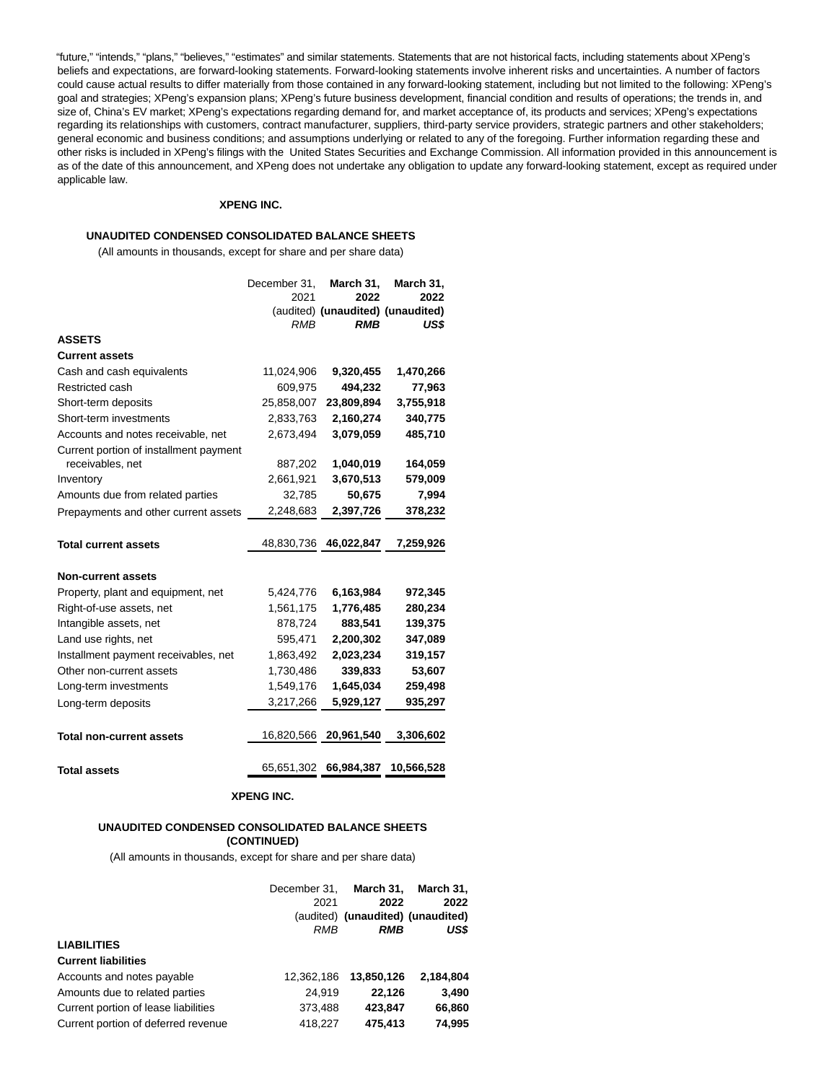"future," "intends," "plans," "believes," "estimates" and similar statements. Statements that are not historical facts, including statements about XPeng's beliefs and expectations, are forward-looking statements. Forward-looking statements involve inherent risks and uncertainties. A number of factors could cause actual results to differ materially from those contained in any forward-looking statement, including but not limited to the following: XPeng's goal and strategies; XPeng's expansion plans; XPeng's future business development, financial condition and results of operations; the trends in, and size of, China's EV market; XPeng's expectations regarding demand for, and market acceptance of, its products and services; XPeng's expectations regarding its relationships with customers, contract manufacturer, suppliers, third-party service providers, strategic partners and other stakeholders; general economic and business conditions; and assumptions underlying or related to any of the foregoing. Further information regarding these and other risks is included in XPeng's filings with the United States Securities and Exchange Commission. All information provided in this announcement is as of the date of this announcement, and XPeng does not undertake any obligation to update any forward-looking statement, except as required under applicable law.

## **XPENG INC.**

### **UNAUDITED CONDENSED CONSOLIDATED BALANCE SHEETS**

(All amounts in thousands, except for share and per share data)

|                                        | December 31.<br>2021<br><b>RMB</b> | March 31.<br>2022<br><b>RMB</b> | March 31.<br>2022<br>(audited) (unaudited) (unaudited)<br>US\$ |
|----------------------------------------|------------------------------------|---------------------------------|----------------------------------------------------------------|
| <b>ASSETS</b>                          |                                    |                                 |                                                                |
| <b>Current assets</b>                  |                                    |                                 |                                                                |
| Cash and cash equivalents              | 11,024,906                         | 9,320,455                       | 1,470,266                                                      |
| Restricted cash                        | 609,975                            | 494,232                         | 77,963                                                         |
| Short-term deposits                    | 25,858,007                         | 23,809,894                      | 3,755,918                                                      |
| Short-term investments                 | 2,833,763                          | 2,160,274                       | 340,775                                                        |
| Accounts and notes receivable, net     | 2,673,494                          | 3,079,059                       | 485,710                                                        |
| Current portion of installment payment |                                    |                                 |                                                                |
| receivables, net                       | 887,202                            | 1,040,019                       | 164,059                                                        |
| Inventory                              | 2,661,921                          | 3,670,513                       | 579,009                                                        |
| Amounts due from related parties       | 32,785                             | 50,675                          | 7,994                                                          |
| Prepayments and other current assets   | 2,248,683                          | 2,397,726                       | 378,232                                                        |
|                                        |                                    |                                 |                                                                |
| <b>Total current assets</b>            | 48,830,736                         | 46,022,847                      | 7,259,926                                                      |
|                                        |                                    |                                 |                                                                |
| <b>Non-current assets</b>              |                                    |                                 |                                                                |
| Property, plant and equipment, net     | 5,424,776                          | 6,163,984                       | 972,345                                                        |
| Right-of-use assets, net               | 1,561,175                          | 1,776,485                       | 280,234                                                        |
| Intangible assets, net                 | 878,724                            | 883,541                         | 139,375                                                        |
| Land use rights, net                   | 595,471                            | 2,200,302                       | 347,089                                                        |
| Installment payment receivables, net   | 1,863,492                          | 2,023,234                       | 319,157                                                        |
| Other non-current assets               | 1,730,486                          | 339,833                         | 53,607                                                         |
| Long-term investments                  | 1,549,176                          | 1,645,034                       | 259,498                                                        |
| Long-term deposits                     | 3,217,266                          | 5,929,127                       | 935,297                                                        |
|                                        |                                    |                                 |                                                                |
| <b>Total non-current assets</b>        | 16,820,566                         | 20,961,540                      | 3,306,602                                                      |
|                                        |                                    |                                 |                                                                |
| <b>Total assets</b>                    | 65,651,302                         | 66,984,387                      | 10,566,528                                                     |

#### **XPENG INC.**

## **UNAUDITED CONDENSED CONSOLIDATED BALANCE SHEETS (CONTINUED)**

(All amounts in thousands, except for share and per share data)

|                                      | December 31.<br>2021<br>RMB | March 31.<br>2022<br>(audited) (unaudited) (unaudited)<br><b>RMB</b> | March 31.<br>2022<br>US\$ |
|--------------------------------------|-----------------------------|----------------------------------------------------------------------|---------------------------|
| <b>LIABILITIES</b>                   |                             |                                                                      |                           |
| <b>Current liabilities</b>           |                             |                                                                      |                           |
| Accounts and notes payable           | 12,362,186                  | 13,850,126                                                           | 2,184,804                 |
| Amounts due to related parties       | 24,919                      | 22,126                                                               | 3,490                     |
| Current portion of lease liabilities | 373,488                     | 423,847                                                              | 66,860                    |
| Current portion of deferred revenue  | 418.227                     | 475.413                                                              | 74.995                    |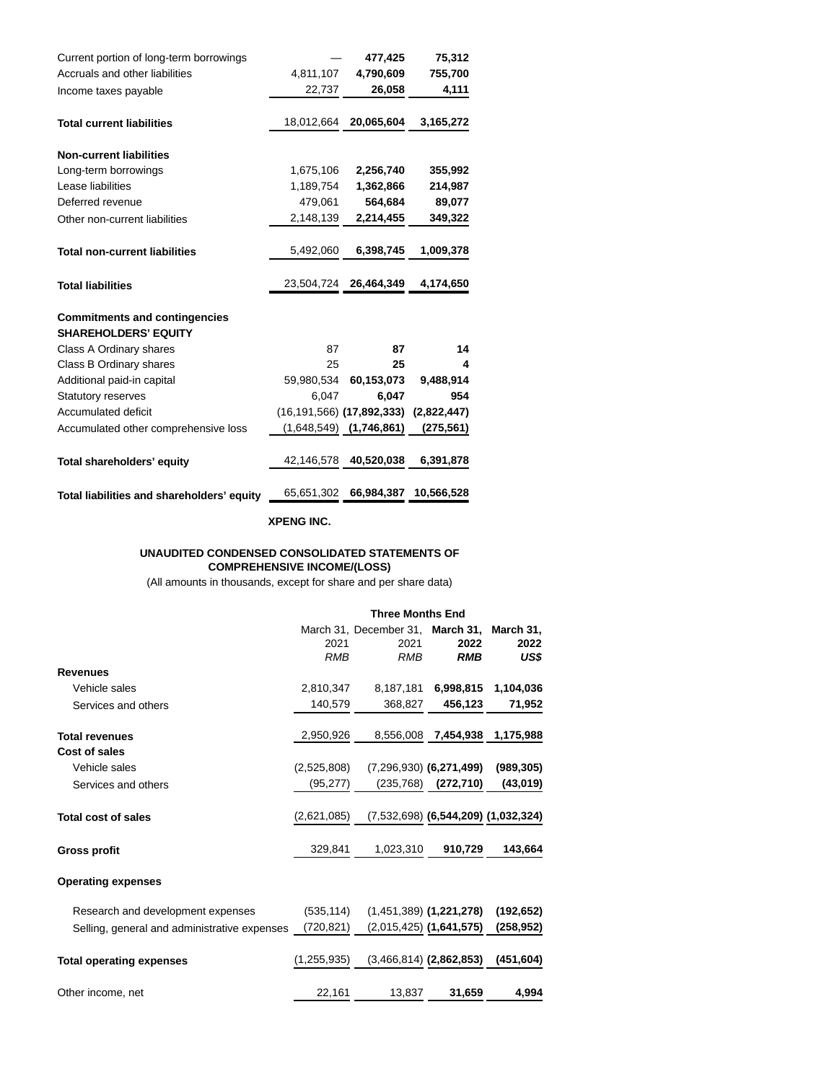| Current portion of long-term borrowings    |            | 477,425                       | 75,312      |
|--------------------------------------------|------------|-------------------------------|-------------|
| Accruals and other liabilities             | 4,811,107  | 4,790,609                     | 755,700     |
| Income taxes payable                       | 22,737     | 26,058                        | 4,111       |
| <b>Total current liabilities</b>           | 18,012,664 | 20,065,604                    | 3,165,272   |
| <b>Non-current liabilities</b>             |            |                               |             |
| Long-term borrowings                       | 1,675,106  | 2,256,740                     | 355,992     |
| Lease liabilities                          | 1,189,754  | 1,362,866                     | 214,987     |
| Deferred revenue                           | 479,061    | 564,684                       | 89,077      |
| Other non-current liabilities              | 2,148,139  | 2,214,455                     | 349,322     |
|                                            |            |                               |             |
| <b>Total non-current liabilities</b>       | 5,492,060  | 6,398,745                     | 1,009,378   |
|                                            |            |                               |             |
| <b>Total liabilities</b>                   | 23,504,724 | 26,464,349                    | 4,174,650   |
| <b>Commitments and contingencies</b>       |            |                               |             |
| <b>SHAREHOLDERS' EQUITY</b>                |            |                               |             |
| Class A Ordinary shares                    | 87         | 87                            | 14          |
| Class B Ordinary shares                    | 25         | 25                            | 4           |
| Additional paid-in capital                 | 59,980,534 | 60,153,073                    | 9,488,914   |
| <b>Statutory reserves</b>                  | 6,047      | 6,047                         | 954         |
| <b>Accumulated deficit</b>                 |            | $(16, 191, 566)$ (17,892,333) | (2,822,447) |
| Accumulated other comprehensive loss       |            | $(1,648,549)$ $(1,746,861)$   | (275, 561)  |
| Total shareholders' equity                 | 42,146,578 | 40,520,038                    | 6,391,878   |
|                                            |            |                               |             |
| Total liabilities and shareholders' equity | 65,651,302 | 66,984,387                    | 10,566,528  |

**XPENG INC.**

#### **UNAUDITED CONDENSED CONSOLIDATED STATEMENTS OF COMPREHENSIVE INCOME/(LOSS)**

(All amounts in thousands, except for share and per share data)

|                                              | <b>Three Months End</b> |                                  |                                       |            |  |
|----------------------------------------------|-------------------------|----------------------------------|---------------------------------------|------------|--|
|                                              |                         | March 31, December 31, March 31, |                                       | March 31,  |  |
|                                              | 2021                    | 2021                             | 2022                                  | 2022       |  |
|                                              | <b>RMB</b>              | <b>RMB</b>                       | <b>RMB</b>                            | US\$       |  |
| <b>Revenues</b>                              |                         |                                  |                                       |            |  |
| Vehicle sales                                | 2,810,347               | 8,187,181                        | 6,998,815                             | 1,104,036  |  |
| Services and others                          | 140,579                 | 368,827                          | 456,123                               | 71,952     |  |
| <b>Total revenues</b>                        | 2,950,926               | 8,556,008                        | 7,454,938                             | 1,175,988  |  |
| Cost of sales                                |                         |                                  |                                       |            |  |
| Vehicle sales                                | (2,525,808)             |                                  | $(7,296,930)$ (6,271,499)             | (989, 305) |  |
| Services and others                          | (95, 277)               |                                  | $(235,768)$ $(272,710)$               | (43, 019)  |  |
| <b>Total cost of sales</b>                   | (2,621,085)             |                                  | $(7,532,698)$ (6,544,209) (1,032,324) |            |  |
| <b>Gross profit</b>                          | 329,841                 | 1,023,310                        | 910,729                               | 143,664    |  |
| <b>Operating expenses</b>                    |                         |                                  |                                       |            |  |
| Research and development expenses            | (535, 114)              |                                  | $(1,451,389)$ (1,221,278)             | (192, 652) |  |
| Selling, general and administrative expenses | (720, 821)              |                                  | $(2,015,425)$ (1,641,575)             | (258,952)  |  |
| <b>Total operating expenses</b>              | (1, 255, 935)           |                                  | $(3,466,814)$ (2,862,853)             | (451, 604) |  |
| Other income, net                            | 22,161                  | 13,837                           | 31,659                                | 4.994      |  |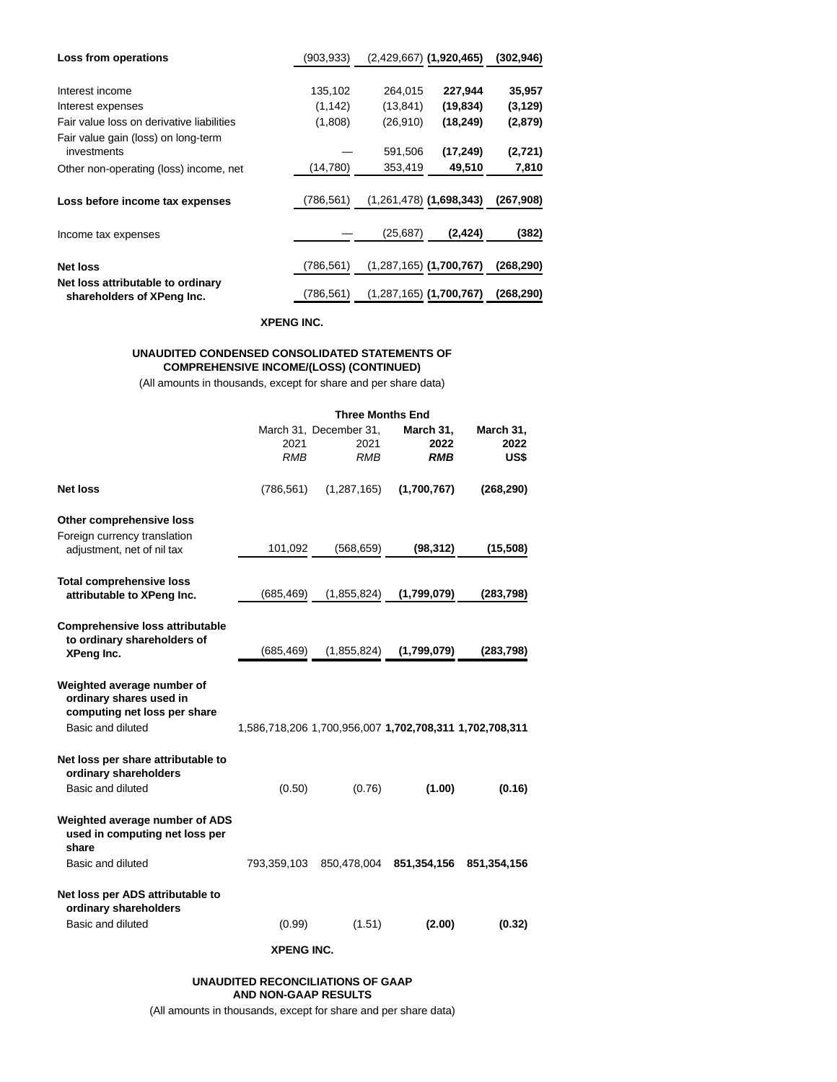| Loss from operations                                            | (903, 933) |           | $(2,429,667)$ (1,920,465)   | (302, 946) |
|-----------------------------------------------------------------|------------|-----------|-----------------------------|------------|
|                                                                 |            |           |                             |            |
| Interest income                                                 | 135,102    | 264,015   | 227,944                     | 35,957     |
| Interest expenses                                               | (1, 142)   | (13, 841) | (19, 834)                   | (3, 129)   |
| Fair value loss on derivative liabilities                       | (1,808)    | (26, 910) | (18, 249)                   | (2,879)    |
| Fair value gain (loss) on long-term<br>investments              |            | 591,506   | (17, 249)                   | (2, 721)   |
| Other non-operating (loss) income, net                          | (14, 780)  | 353,419   | 49,510                      | 7,810      |
| Loss before income tax expenses                                 | (786,561)  |           | $(1,261,478)$ (1,698,343)   | (267, 908) |
| Income tax expenses                                             |            | (25, 687) | (2, 424)                    | (382)      |
| <b>Net loss</b>                                                 | (786,561)  |           | $(1,287,165)$ (1,700,767)   | (268,290)  |
| Net loss attributable to ordinary<br>shareholders of XPeng Inc. | (786.561)  |           | $(1,287,165)$ $(1,700,767)$ | (268, 290) |

#### **XPENG INC.**

## **UNAUDITED CONDENSED CONSOLIDATED STATEMENTS OF COMPREHENSIVE INCOME/(LOSS) (CONTINUED)**

(All amounts in thousands, except for share and per share data)

|                                                                                                            | <b>Three Months End</b> |                                                         |                          |                           |
|------------------------------------------------------------------------------------------------------------|-------------------------|---------------------------------------------------------|--------------------------|---------------------------|
|                                                                                                            | 2021<br><b>RMB</b>      | March 31, December 31,<br>2021<br><b>RMB</b>            | March 31,<br>2022<br>RMB | March 31,<br>2022<br>US\$ |
| <b>Net loss</b>                                                                                            | (786, 561)              | (1, 287, 165)                                           | (1,700,767)              | (268, 290)                |
| Other comprehensive loss<br>Foreign currency translation                                                   |                         |                                                         |                          |                           |
| adjustment, net of nil tax                                                                                 | 101,092                 | (568, 659)                                              | (98, 312)                | (15,508)                  |
| <b>Total comprehensive loss</b><br>attributable to XPeng Inc.                                              | (685, 469)              | (1,855,824)                                             | (1,799,079)              | (283, 798)                |
| <b>Comprehensive loss attributable</b><br>to ordinary shareholders of<br>XPeng Inc.                        | (685, 469)              | (1,855,824)                                             | (1,799,079)              | (283, 798)                |
| Weighted average number of<br>ordinary shares used in<br>computing net loss per share<br>Basic and diluted |                         | 1,586,718,206 1,700,956,007 1,702,708,311 1,702,708,311 |                          |                           |
| Net loss per share attributable to<br>ordinary shareholders<br>Basic and diluted                           | (0.50)                  | (0.76)                                                  | (1.00)                   | (0.16)                    |
| Weighted average number of ADS<br>used in computing net loss per<br>share                                  |                         |                                                         |                          |                           |
| Basic and diluted                                                                                          | 793,359,103             | 850,478,004                                             | 851,354,156              | 851,354,156               |
| Net loss per ADS attributable to<br>ordinary shareholders                                                  |                         |                                                         |                          |                           |
| Basic and diluted                                                                                          | (0.99)                  | (1.51)                                                  | (2.00)                   | (0.32)                    |
|                                                                                                            | <b>XPENG INC.</b>       |                                                         |                          |                           |

## **UNAUDITED RECONCILIATIONS OF GAAP AND NON-GAAP RESULTS**

(All amounts in thousands, except for share and per share data)